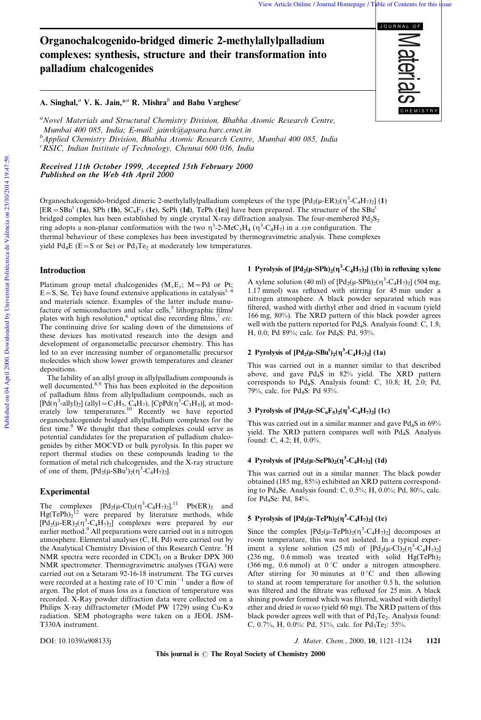# Organochalcogenido-bridged dimeric 2-methylallylpalladium complexes: synthesis, structure and their transformation into palladium chalcogenides

# A. Singhal,<sup>a</sup> V. K. Jain,<sup>\*a</sup> R. Mishra<sup>b</sup> and Babu Varghese<sup>c</sup>

<sup>a</sup>Novel Materials and Structural Chemistry Division, Bhabha Atomic Research Centre, Mumbai 400 085, India; E-mail: jainvk@apsara.barc.ernet.in b<br><sup>b</sup>Applied Chemistry Division, Bhabha Atomic Research Centre, Mumbai 400 085, India  ${}^{c}$ RSIC, Indian Institute of Technology, Chennai 600 036, India

Received 11th October 1999, Accepted 15th February 2000 Published on the Web 4th April  $2000$ 

Organochalcogenido-bridged dimeric 2-methylallylpalladium complexes of the type  $[Pd_2(\mu-ER)_2(\eta^3-C_4H_7)_2]$  (1)  $[ER = SBu<sup>t</sup> (1a), SPh (1b), SC<sub>6</sub>F<sub>5</sub> (1c), SePh (1d), TePh (1e)] have been prepared. The structure of the SBu<sup>t</sup>$ bridged complex has been established by single crystal X-ray diffraction analysis. The four-membered  $Pd_2S_2$ ring adopts a non-planar conformation with the two  $\eta^3$ -2-MeC<sub>3</sub>H<sub>4</sub> ( $\eta^3$ -C<sub>4</sub>H<sub>7</sub>) in a syn configuration. The thermal behaviour of these complexes has been investigated by thermogravimetric analysis. These complexes yield  $Pd_4E$  (E=S or Se) or  $Pd_3Te_2$  at moderately low temperatures.

#### Introduction

Platinum group metal chalcogenides  $(M_xE_y; M=Pd$  or Pt; E = S, Se, Te) have found extensive applications in catalysis<sup>1-4</sup> and materials science. Examples of the latter include manufacture of semiconductors and solar cells,<sup>5</sup> lithographic films/ plates with high resolution,<sup>6</sup> optical disc recording films,<sup>7</sup> etc. The continuing drive for scaling down of the dimensions of these devices has motivated research into the design and development of organometallic precursor chemistry. This has led to an ever increasing number of organometallic precursor molecules which show lower growth temperatures and cleaner depositions.

The lability of an allyl group in allylpalladium compounds is well documented.<sup>8,9</sup> This has been exploited in the deposition of palladium films from allylpalladium compounds, such as  $[{\rm Pd}(\eta^3\text{-allyl})_2]$  (allyl = C<sub>3</sub>H<sub>5</sub>, C<sub>4</sub>H<sub>7</sub>), [CpPd( $\eta^3\text{-}C_3H_5$ )], at moderately low temperatures.<sup>10</sup> Recently we have reported organochalcogenide bridged allylpalladium complexes for the first time.<sup>9</sup> We thought that these complexes could serve as potential candidates for the preparation of palladium chalcogenides by either MOCVD or bulk pyrolysis. In this paper we report thermal studies on these compounds leading to the formation of metal rich chalcogenides, and the X-ray structure of one of them,  $[{\rm Pd}_2(\mu - SBu^t)_2(\eta^3 - C_4H_7)_2]$ .

#### Experimental

The complexes  $[Pd_2(\mu\text{-Cl})_2(\eta^3\text{-}C_4H_7)_2]$ ,<sup>11</sup>  $Pb(ER)_2$  and  $Hg(TePh)<sub>2</sub>$ <sup>12</sup> were prepared by literature methods, while  $[\overline{Pd}_{2}(\mu-ER)_{2}(\eta^{3}-C_{4}H_{7})_{2}]$  complexes were prepared by our earlier method.<sup>9</sup> All preparations were carried out in a nitrogen atmosphere. Elemental analyses (C, H, Pd) were carried out by the Analytical Chemistry Division of this Research Centre. <sup>1</sup>H NMR spectra were recorded in  $CDCl<sub>3</sub>$  on a Bruker DPX 300 NMR spectrometer. Thermogravimetric analyses (TGA) were carried out on a Setaram 92-16-18 instrument. The TG curves were recorded at a heating rate of  $10^{\circ}$ C min<sup>-1</sup> under a flow of argon. The plot of mass loss as a function of temperature was recorded. X-Ray powder diffraction data were collected on a Philips X-ray diffractometer (Model PW 1729) using Cu-Ka radiation. SEM photographs were taken on a JEOL JSM-T330A instrument.

# 1 Pyrolysis of  $[{\rm Pd}_2(\mu$ -SPh)<sub>2</sub>( $\eta^3$ -C<sub>4</sub>H<sub>7</sub>)<sub>2</sub>] (1b) in refluxing xylene

A xylene solution (40 ml) of  $[{\rm Pd}_2(\mu\text{-SPh})_2(\eta^3\text{-}C_4H_7)_2]$  (504 mg, 1.17 mmol) was refluxed with stirring for 45 min under a nitrogen atmosphere. A black powder separated which was filtered, washed with diethyl ether and dried in vacuum (yield 166 mg, 80%). The XRD pattern of this black powder agrees well with the pattern reported for Pd<sub>4</sub>S. Analysis found: C, 1.8; H, 0.0; Pd 89%; calc. for Pd<sub>4</sub>S: Pd, 93%.

### 2 Pyrolysis of  $[Pd_2(\mu-SBu^t)_2(\eta^3-C_4H_7)_2]$  (1a)

This was carried out in a manner similar to that described above, and gave Pd4S in 82% yield. The XRD pattern corresponds to Pd4S. Analysis found: C, 10.8; H, 2.0; Pd, 79%, calc. for Pd<sub>4</sub>S: Pd 93%.

### 3 Pyrolysis of  $[{\rm Pd}_2(\mu{\rm -SC}_6F_5)_2(\eta^3{\rm -}C_4H_7)_2]$  (1c)

This was carried out in a similar manner and gave Pd<sub>4</sub>S in 69% yield. The XRD pattern compares well with Pd<sub>4</sub>S. Analysis found: C, 4.2; H, 0.0%.

### 4 Pyrolysis of  $[{\rm Pd}_2(\mu{\text -SePh}}_2(\eta^3{\text -C}_4{\rm H}_7)_2]$  (1d)

This was carried out in a similar manner. The black powder obtained (185 mg, 85%) exhibited an XRD pattern corresponding to Pd4Se. Analysis found: C, 0.5%; H, 0.0%; Pd, 80%, calc. for Pd4Se: Pd, 84%.

### 5 Pyrolysis of  $[{\rm Pd}_2(\mu-{\rm TePh})_2(\eta^3{\rm -C}_4{\rm H}_7)_2]$  (1e)

Since the complex  $[{\rm Pd}_2(\mu-{\rm TePh})_2(\eta^3-{\rm C}_4{\rm H}_7)_2]$  decomposes at room temperature, this was not isolated. In a typical experiment a xylene solution (25 ml) of  $[\text{Pd}_2(\mu-\text{Cl})_2(\eta^3-\text{C}_4\text{H}_7)_2]$ (236 mg, 0.6 mmol) was treated with solid  $Hg(TePh)<sub>2</sub>$ (366 mg, 0.6 mmol) at  $0^{\circ}$ C under a nitrogen atmosphere. After stirring for 30 minutes at  $0^{\circ}$ C and then allowing to stand at room temperature for another 0.5 h, the solution was filtered and the filtrate was refluxed for 25 min. A black shining powder formed which was filtered, washed with diethyl ether and dried in vacuo (yield 60 mg). The XRD pattern of this black powder agrees well with that of  $Pd_3Te_2$ . Analysis found: C, 0.7%, H, 0.0%: Pd, 51%, calc. for  $Pd_3Te_2$ : 55%.

DOI: 10.1039/a908133j J. Mater. Chem., 2000, 10, 1121-1124 1121

This journal is  $\odot$  The Royal Society of Chemistry 2000

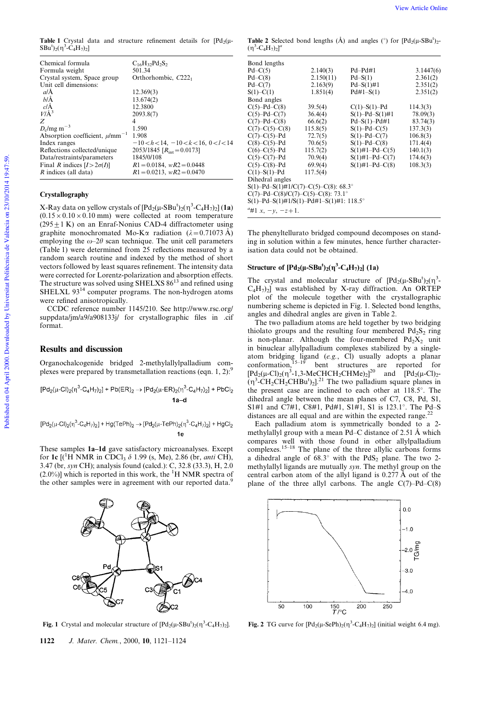**Table 1** Crystal data and structure refinement details for  $[Pd_2(\mu SBu^{t}$ <sub>2</sub>( $\eta^{3}$ - $\check{C}_{4}H_{7}$ )<sub>2</sub>]

| Chemical formula                                | $C_{16}H_{32}Pd_2S_2$                          |
|-------------------------------------------------|------------------------------------------------|
| Formula weight                                  | 501.34                                         |
| Crystal system, Space group                     | Orthorhombic, $C221$                           |
| Unit cell dimensions:                           |                                                |
| $a/\AA$                                         | 12.369(3)                                      |
| $h/\AA$                                         | 13.674(2)                                      |
| $c/\text{\AA}$                                  | 12.3800                                        |
| $V/\AA$ <sup>3</sup>                            | 2093.8(7)                                      |
| Z                                               | 4                                              |
| $D_c$ /mg m <sup>-3</sup>                       | 1.590                                          |
| Absorption coefficient, $\mu$ /mm <sup>-1</sup> | 1.908                                          |
| Index ranges                                    | $-10 < h < 14$ , $-10 < k < 16$ , $0 < l < 14$ |
| Reflections collected/unique                    | 2053/1845 $[R_{\text{int}} = 0.0173]$          |
| Data/restraints/parameters                      | 1845/0/108                                     |
| Final R indices $[I>2\sigma(I)]$                | $R1 = 0.0184$ , $wR2 = 0.0448$                 |
| R indices (all data)                            | $R1 = 0.0213$ , $wR2 = 0.0470$                 |

#### Crystallography

X-Ray data on yellow crystals of  $[\text{Pd}_2(\mu\text{-}S\text{Bu}^t)_2(\eta^3\text{-}C_4\text{H}_7)_2]$  (1a)  $(0.15 \times 0.10 \times 0.10 \text{ mm})$  were collected at room temperature  $(295 \pm 1 \text{ K})$  on an Enraf-Nonius CAD-4 diffractometer using graphite monochromated Mo-K $\alpha$  radiation ( $\lambda = 0.71073 \text{ Å}$ ) employing the  $\omega$ -2 $\theta$  scan technique. The unit cell parameters (Table 1) were determined from 25 reflections measured by a random search routine and indexed by the method of short vectors followed by least squares refinement. The intensity data were corrected for Lorentz-polarization and absorption effects. The structure was solved using SHELXS  $86^{13}$  and refined using SHELXL 93<sup>14</sup> computer programs. The non-hydrogen atoms were refined anisotropically.

CCDC reference number 1145/210. See http://www.rsc.org/ suppdata/jm/a9/a908133j/ for crystallographic files in .cif format.

#### Results and discussion

Organochalcogenide bridged 2-methylallylpalladium complexes were prepared by transmetallation reactions (eqn. 1, 2): $\frac{9}{2}$ 

$$
[Pd_2(\mu\text{-}Cl)_2(\eta^3\text{-}C_4H_7)_2]+Pb(ER)_2\to[Pd_2(\mu\text{-}ER)_2(\eta^3\text{-}C_4H_7)_2]+PbCl_2
$$
  
**1a-d**

 $[{\sf Pd}_2(\mu\text{-}{\sf Cl})_2(\eta^3\text{-}{\sf C}_4{\sf H}_7)_2]+{\sf Hg}({\sf TePh})_2\to [{\sf Pd}_2(\mu\text{-}{\sf TePh})_2(\eta^3\text{-}{\sf C}_4{\sf H}_7)_2]+{\sf HgCl}_2$ 

These samples 1a-1d gave satisfactory microanalyses. Except for 1c  $\lbrack$ <sup>(1</sup>H NMR in CDCl<sub>3</sub>  $\delta$  1.99 (s, Me), 2.86 (br, *anti* CH), 3.47 (br, syn CH); analysis found (calcd.): C, 32.8 (33.3), H, 2.0 (2.0%)] which is reported in this work, the  ${}^{1}H$  NMR spectra of the other samples were in agreement with our reported data.<sup>9</sup>

**Fig. 1** Crystal and molecular structure of  $[{\rm Pd}_2(\mu$ -SBu<sup>t</sup>)<sub>2</sub>( $\eta$ <sup>3</sup>-C<sub>4</sub>H<sub>7</sub>)<sub>2</sub>].

 $C<sub>3</sub>$ 

Pr.

**Table 2** Selected bond lengths  $(\mathring{A})$  and angles ( $\degree$ ) for  $[Pd_2(\mu-SBu^t)_2-Pd_2(\mu-SDu^t)]$  $(\eta^3$ -C<sub>4</sub>H<sub>7</sub>)<sub>2</sub>]<sup>a</sup>

| Bond lengths                               |           |                       |           |  |  |  |  |
|--------------------------------------------|-----------|-----------------------|-----------|--|--|--|--|
| $Pd-C(5)$                                  | 2.140(3)  | $Pd-Pd#1$             | 3.1447(6) |  |  |  |  |
| $Pd-C(8)$                                  | 2.150(11) | $Pd-S(1)$             | 2.361(2)  |  |  |  |  |
| $Pd-C(7)$                                  | 2.163(9)  | $Pd-S(1)\#1$          | 2.351(2)  |  |  |  |  |
| $S(1) - C(1)$                              | 1.851(4)  | $Pd#1-S(1)$           | 2.351(2)  |  |  |  |  |
| Bond angles                                |           |                       |           |  |  |  |  |
| $C(5)-Pd-C(8)$                             | 39.5(4)   | $C(1)-S(1)-Pd$        | 114.3(3)  |  |  |  |  |
| $C(5)-Pd-C(7)$                             | 36.4(4)   | $S(1)$ -Pd- $S(1)$ #1 | 78.09(3)  |  |  |  |  |
| $C(7)-Pd-C(8)$                             | 66.6(2)   | $Pd-S(1)-Pd\#1$       | 83.74(3)  |  |  |  |  |
| $C(7)$ – $C(5)$ – $C(8)$                   | 115.8(5)  | $S(1)$ -Pd-C(5)       | 137.3(3)  |  |  |  |  |
| $C(7)-C(5)-Pd$                             | 72.7(5)   | $S(1)$ -Pd-C(7)       | 106.8(3)  |  |  |  |  |
| $C(8)-C(5)-Pd$                             | 70.6(5)   | $S(1)$ -Pd-C(8)       | 171.4(4)  |  |  |  |  |
| $C(6)-C(5)-Pd$                             | 115.7(2)  | $S(1)\#1-Pd-C(5)$     | 140.1(3)  |  |  |  |  |
| $C(5)-C(7)-Pd$                             | 70.9(4)   | $S(1)\#1-Pd-C(7)$     | 174.6(3)  |  |  |  |  |
| $C(5)-C(8)-Pd$                             | 69.9(4)   | $S(1)\#1-Pd-C(8)$     | 108.3(3)  |  |  |  |  |
| $C(1)-S(1)-Pd$                             | 117.5(4)  |                       |           |  |  |  |  |
| Dihedral angles                            |           |                       |           |  |  |  |  |
| $S(1)$ -Pd-S(1)#1/C(7)-C(5)-C(8): 68.3°    |           |                       |           |  |  |  |  |
| $C(7)-Pd-C(8)/C(7)-C(5)-C(8)$ : 73.1°      |           |                       |           |  |  |  |  |
| $S(1)$ -Pd-S(1)#1/S(1)-Pd#1-S(1)#1: 118.5° |           |                       |           |  |  |  |  |
| "#1 x, $-y$ , $-z+1$ .                     |           |                       |           |  |  |  |  |

The phenyltellurato bridged compound decomposes on standing in solution within a few minutes, hence further characterisation data could not be obtained.

### Structure of  $[{\rm Pd}_2(\mu - {\rm SBu}^t)_2(\eta^3 - C_4H_7)_2]$  (1a)

The crystal and molecular structure of  $[{\rm Pd}_2(\mu-SBu^t)_2(\eta^3 C_4H_7$ )<sub>2</sub>] was established by X-ray diffraction. An ORTEP plot of the molecule together with the crystallographic numbering scheme is depicted in Fig. 1. Selected bond lengths, angles and dihedral angles are given in Table 2.

The two palladium atoms are held together by two bridging thiolato groups and the resulting four membered  $Pd_2S_2$  ring is non-planar. Although the four-membered  $Pd_2X_2$  unit in binuclear allylpalladium complexes stabilized by a singleatom bridging ligand (e.g., Cl) usually adopts a planar<br>conformation  $15-19$  bent, structures, are reported for conformation,  $15-19$  bent structures are reported for  $[{\rm Pd}_2(\mu\text{-Cl})_2(\eta^3\text{-}1,3\text{-MeCHCH}_2\text{CHMe})_2]^{20}$  and  $[{\rm Pd}_2(\mu\text{-Cl})_2\text{-}$  $(\eta^3$ -CH<sub>2</sub>CH<sub>2</sub>CHBu<sup>t</sup>)<sub>2</sub><sup>21</sup> The two palladium square planes in the present case are inclined to each other at  $118.5^\circ$ . The dihedral angle between the mean planes of C7, C8, Pd, S1, S1#1 and C7#1, C8#1, Pd#1, S1#1, S1 is 123.1°. The Pd-S distances are all equal and are within the expected range.<sup>2</sup>

Each palladium atom is symmetrically bonded to a 2 methylallyl group with a mean Pd $-C$  distance of 2.51 Å which compares well with those found in other allylpalladium complexes.<sup>15 $-18$ </sup> The plane of the three allylic carbons forms a dihedral angle of  $68.3^\circ$  with the PdS<sub>2</sub> plane. The two 2methylallyl ligands are mutually syn. The methyl group on the central carbon atom of the allyl ligand is  $0.277 \text{ Å}$  out of the plane of the three allyl carbons. The angle  $C(7)-Pd-C(8)$ 



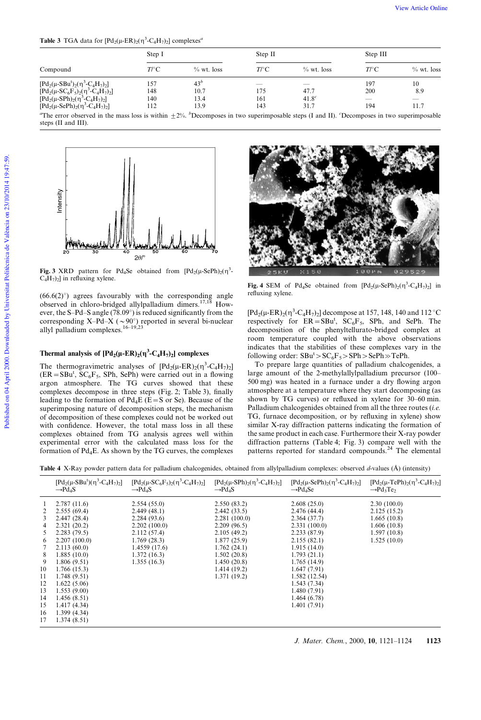**Table 3** TGA data for  $[Pd_2(\mu-ER)_2(\eta^3-C_4H_7)_2]$  complexes<sup>*a*</sup>

|                                                                                                                                                                                                                                                                                                                                                                             | Step I                   |                                         | Step II                |                                                        | Step III                           |                   |
|-----------------------------------------------------------------------------------------------------------------------------------------------------------------------------------------------------------------------------------------------------------------------------------------------------------------------------------------------------------------------------|--------------------------|-----------------------------------------|------------------------|--------------------------------------------------------|------------------------------------|-------------------|
| Compound                                                                                                                                                                                                                                                                                                                                                                    | $T \cap C$               | $\%$ wt. loss                           | $T \cap C$             | $\%$ wt. loss                                          | $T \cap C$                         | $\%$ wt. loss     |
| $[{\rm Pd}_2(\mu\text{-}SBu^t)_2(\eta^3\text{-}C_4H_7)_2]$<br>$[{\rm Pd}_{2}(\mu$ -SC <sub>6</sub> F <sub>5</sub> ) <sub>2</sub> ( $\eta$ <sup>3</sup> -C <sub>4</sub> H <sub>7</sub> ) <sub>2</sub> ]<br>$[{\rm Pd}_{2}(\mu$ -SPh $)_{2}(\eta^{3}$ -C <sub>4</sub> H <sub>7</sub> $)_{2}]$<br>$[{\rm Pd}_{2}(\mu\text{-SePh})_{2}(\eta^{3}\text{-C}_{4}\text{H}_{7})_{2}]$ | 157<br>148<br>140<br>112 | 43 <sup>b</sup><br>10.7<br>13.4<br>13.9 | _<br>175<br>161<br>143 | $\overline{\phantom{a}}$<br>47.7<br>$41.8^{c}$<br>31.7 | 197<br>200<br>$\frac{1}{2}$<br>194 | 10<br>8.9<br>11.7 |

"The error observed in the mass loss is within  $\pm 2\%$ . "Decomposes in two superimposable steps (I and II). "Decomposes in two superimposable steps (II and III).



Fig. 3 XRD pattern for Pd<sub>4</sub>Se obtained from  $[Pd_2(\mu-SePh)_2(\eta^3 C_4H_7$ )<sub>2</sub>] in refluxing xylene.

 $(66.6(2)°)$  agrees favourably with the corresponding angle observed in chloro-bridged allylpalladium dimers.<sup>17,18</sup> However, the S-Pd-S angle (78.09 $^{\circ}$ ) is reduced significantly from the corresponding X-Pd-X ( $\sim$ 90 $^{\circ}$ ) reported in several bi-nuclear allyl palladium complexes. $16-19,23$ 

### Thermal analysis of  $[{\rm Pd}_2(\mu-{\rm ER})_2(\eta^3{\rm -}C_4H_7)_2]$  complexes

The thermogravimetric analyses of  $[{\rm Pd}_2(\mu-{\rm ER})_2(\eta^3-{\rm C}_4{\rm H}_7)_2]$  $(ER = SBu<sup>t</sup>, SC<sub>6</sub>F<sub>5</sub>, SPh, SePh)$  were carried out in a flowing argon atmosphere. The TG curves showed that these complexes decompose in three steps (Fig. 2; Table 3), finally leading to the formation of  $Pd_4E$  (E=S or Se). Because of the superimposing nature of decomposition steps, the mechanism of decomposition of these complexes could not be worked out with confidence. However, the total mass loss in all these complexes obtained from TG analysis agrees well within experimental error with the calculated mass loss for the formation of  $Pd_4E$ . As shown by the TG curves, the complexes



Fig. 4 SEM of Pd<sub>4</sub>Se obtained from  $[{\rm Pd}_2(\mu{\text{-}}{\rm SePh})_2(\eta^3{\text{-}}{\rm C}_4{\rm H}_7)_2]$  in refluxing xylene.

[Pd<sub>2</sub>(µ-ER)<sub>2</sub>( $\eta^3$ -C<sub>4</sub>H<sub>7</sub>)<sub>2</sub>] decompose at 157, 148, 140 and 112 °C respectively for  $ER = SBu^t$ ,  $SC_6F_5$ , SPh, and SePh. The decomposition of the phenyltellurato-bridged complex at room temperature coupled with the above observations indicates that the stabilities of these complexes vary in the following order:  $SBu^t > SC_6F_5 > SPh > SePh \gg TePh$ .

To prepare large quantities of palladium chalcogenides, a large amount of the 2-methylallylpalladium precursor (100-500 mg) was heated in a furnace under a dry flowing argon atmosphere at a temperature where they start decomposing (as shown by TG curves) or refluxed in xylene for 30-60 min. Palladium chalcogenides obtained from all the three routes  $(i.e.$ TG, furnace decomposition, or by refluxing in xylene) show similar X-ray diffraction patterns indicating the formation of the same product in each case. Furthermore their X-ray powder diffraction patterns (Table 4; Fig. 3) compare well with the patterns reported for standard compounds.<sup>24</sup> The elemental

Table 4 X-Ray powder pattern data for palladium chalcogenides, obtained from allylpalladium complexes: observed  $d$ -values (Å) (intensity)

|                | $[{\rm Pd}_2(\mu\text{-}SBu^t)(\eta^3\text{-}C_4H_7)_2]$ | $[{\rm Pd}_{2}(\mu$ -SC <sub>6</sub> F <sub>5</sub> ) <sub>2</sub> ( $\eta$ <sup>3</sup> -C <sub>4</sub> H <sub>7</sub> ) <sub>2</sub> ] | $[{\rm Pd}_{2}(\mu$ -SPh $)_{2}(\eta^{3}$ -C <sub>4</sub> H <sub>7</sub> $)_{2}]$ | $[{\rm Pd}_{2}(\mu\text{-SePh})_{2}(\eta^{3}\text{-}C_{4}H_{7})_{2}]$ | $[{\rm Pd}_2(\mu$ -TePh) <sub>2</sub> ( $\eta^3$ -C <sub>4</sub> H <sub>7</sub> ) <sub>2</sub> ] |
|----------------|----------------------------------------------------------|------------------------------------------------------------------------------------------------------------------------------------------|-----------------------------------------------------------------------------------|-----------------------------------------------------------------------|--------------------------------------------------------------------------------------------------|
|                | $\rightarrow$ Pd <sub>4</sub> S                          | $\rightarrow$ Pd <sub>4</sub> S                                                                                                          | $\rightarrow$ Pd <sub>4</sub> S                                                   | $\rightarrow$ Pd <sub>4</sub> Se                                      | $\rightarrow$ Pd <sub>3</sub> Te <sub>2</sub>                                                    |
| -1             | 2.787(11.6)                                              | 2.554(55.0)                                                                                                                              | 2.550(83.2)                                                                       | 2.608(25.0)                                                           | 2.30(100.0)                                                                                      |
| 2              | 2.555(69.4)                                              | 2.449(48.1)                                                                                                                              | 2.442(33.5)                                                                       | 2.476(44.4)                                                           | 2.125(15.2)                                                                                      |
| 3              | 2.447(28.4)                                              | 2.284(93.6)                                                                                                                              | 2.281(100.0)                                                                      | 2.364(37.7)                                                           | 1.665(10.8)                                                                                      |
| 4              | 2.321(20.2)                                              | 2.202(100.0)                                                                                                                             | 2.209(96.5)                                                                       | 2.331(100.0)                                                          | 1.606(10.8)                                                                                      |
| 5              | 2.283(79.5)                                              | 2.112(57.4)                                                                                                                              | 2.105(49.2)                                                                       | 2.233(87.9)                                                           | 1.597(10.8)                                                                                      |
| 6              | 2.207(100.0)                                             | 1.769(28.3)                                                                                                                              | 1.877(25.9)                                                                       | 2.155(82.1)                                                           | 1.525(10.0)                                                                                      |
| 7              | 2.113(60.0)                                              | 1.4559(17.6)                                                                                                                             | 1.762(24.1)                                                                       | 1.915(14.0)                                                           |                                                                                                  |
| 8              | 1.885(10.0)                                              | 1.372(16.3)                                                                                                                              | 1.502(20.8)                                                                       | 1.793(21.1)                                                           |                                                                                                  |
| 9              | 1.806(9.51)                                              | 1.355(16.3)                                                                                                                              | 1.450(20.8)                                                                       | 1.765(14.9)                                                           |                                                                                                  |
| 10<br>11       | 1.766(15.3)<br>1.748(9.51)                               |                                                                                                                                          | 1.414(19.2)<br>1.371 (19.2)                                                       | 1.647(7.91)<br>1.582(12.54)                                           |                                                                                                  |
| 12<br>13       | 1.622(5.06)<br>1.553(9.00)                               |                                                                                                                                          |                                                                                   | 1.543(7.34)<br>1.480(7.91)                                            |                                                                                                  |
| 14             | 1.456(8.51)                                              |                                                                                                                                          |                                                                                   | 1.464(6.78)                                                           |                                                                                                  |
| 15<br>16<br>17 | 1.417(4.34)<br>1.399(4.34)<br>1.374(8.51)                |                                                                                                                                          |                                                                                   | 1.401(7.91)                                                           |                                                                                                  |